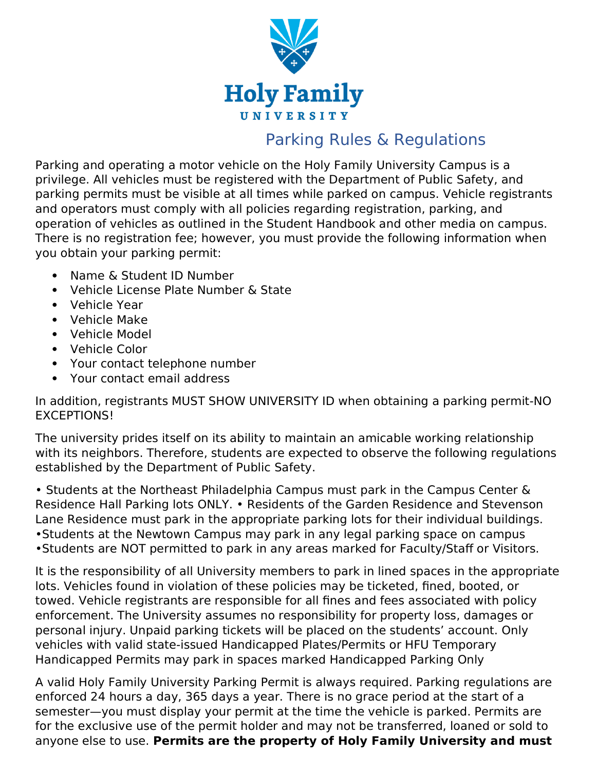

## Parking Rules & Regulations

Parking and operating a motor vehicle on the Holy Family University Campus is a privilege. All vehicles must be registered with the Department of Public Safety, and parking permits must be visible at all times while parked on campus. Vehicle registrants and operators must comply with all policies regarding registration, parking, and operation of vehicles as outlined in the Student Handbook and other media on campus. There is no registration fee; however, you must provide the following information when you obtain your parking permit:

- Name & Student ID Number
- Vehicle License Plate Number & State
- Vehicle Year
- Vehicle Make
- Vehicle Model
- Vehicle Color
- Your contact telephone number
- Your contact email address

In addition, registrants MUST SHOW UNIVERSITY ID when obtaining a parking permit-NO EXCEPTIONS!

The university prides itself on its ability to maintain an amicable working relationship with its neighbors. Therefore, students are expected to observe the following regulations established by the Department of Public Safety.

• Students at the Northeast Philadelphia Campus must park in the Campus Center & Residence Hall Parking lots ONLY. • Residents of the Garden Residence and Stevenson Lane Residence must park in the appropriate parking lots for their individual buildings. •Students at the Newtown Campus may park in any legal parking space on campus •Students are NOT permitted to park in any areas marked for Faculty/Staff or Visitors.

It is the responsibility of all University members to park in lined spaces in the appropriate lots. Vehicles found in violation of these policies may be ticketed, fined, booted, or towed. Vehicle registrants are responsible for all fines and fees associated with policy enforcement. The University assumes no responsibility for property loss, damages or personal injury. Unpaid parking tickets will be placed on the students' account. Only vehicles with valid state-issued Handicapped Plates/Permits or HFU Temporary Handicapped Permits may park in spaces marked Handicapped Parking Only

A valid Holy Family University Parking Permit is always required. Parking regulations are enforced 24 hours a day, 365 days a year. There is no grace period at the start of a semester—you must display your permit at the time the vehicle is parked. Permits are for the exclusive use of the permit holder and may not be transferred, loaned or sold to anyone else to use. **Permits are the property of Holy Family University and must**